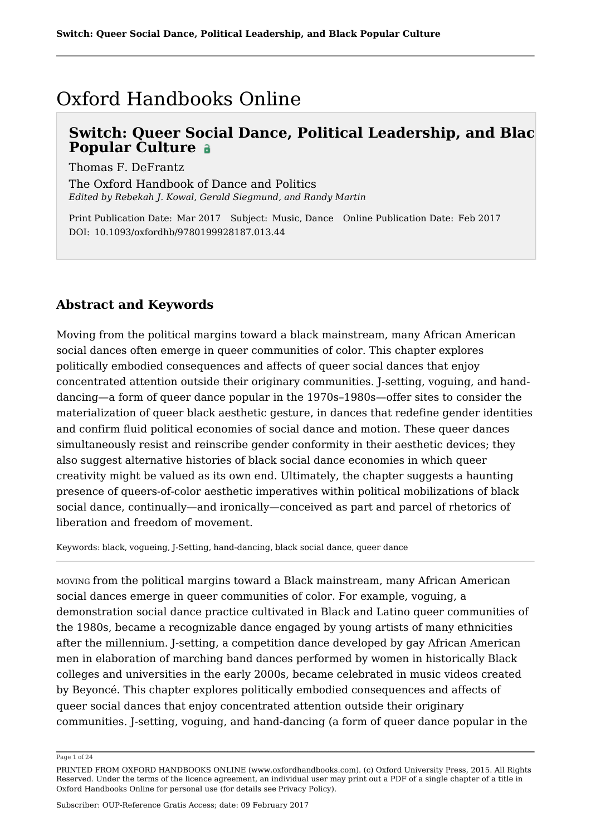## Oxford Handbooks Online

## **Switch: Queer Social Dance, Political Leadership, and Black Popular Culture**

Thomas F. DeFrantz

The Oxford Handbook of Dance and Politics *Edited by Rebekah J. Kowal, Gerald Siegmund, and Randy Martin*

Print Publication Date: Mar 2017 Subject: Music, Dance Online Publication Date: Feb 2017 DOI: 10.1093/oxfordhb/9780199928187.013.44

### **Abstract and Keywords**

Moving from the political margins toward a black mainstream, many African American social dances often emerge in queer communities of color. This chapter explores politically embodied consequences and affects of queer social dances that enjoy concentrated attention outside their originary communities. J-setting, voguing, and handdancing—a form of queer dance popular in the 1970s–1980s—offer sites to consider the materialization of queer black aesthetic gesture, in dances that redefine gender identities and confirm fluid political economies of social dance and motion. These queer dances simultaneously resist and reinscribe gender conformity in their aesthetic devices; they also suggest alternative histories of black social dance economies in which queer creativity might be valued as its own end. Ultimately, the chapter suggests a haunting presence of queers-of-color aesthetic imperatives within political mobilizations of black social dance, continually—and ironically—conceived as part and parcel of rhetorics of liberation and freedom of movement.

Keywords: black, vogueing, J-Setting, hand-dancing, black social dance, queer dance

MOVING from the political margins toward a Black mainstream, many African American social dances emerge in queer communities of color. For example, voguing, a demonstration social dance practice cultivated in Black and Latino queer communities of the 1980s, became a recognizable dance engaged by young artists of many ethnicities after the millennium. J-setting, a competition dance developed by gay African American men in elaboration of marching band dances performed by women in historically Black colleges and universities in the early 2000s, became celebrated in music videos created by Beyoncé. This chapter explores politically embodied consequences and affects of queer social dances that enjoy concentrated attention outside their originary communities. J-setting, voguing, and hand-dancing (a form of queer dance popular in the

Page 1 of 24

PRINTED FROM OXFORD HANDBOOKS ONLINE (www.oxfordhandbooks.com). (c) Oxford University Press, 2015. All Rights Reserved. Under the terms of the licence agreement, an individual user may print out a PDF of a single chapter of a title in Oxford Handbooks Online for personal use (for details see Privacy Policy).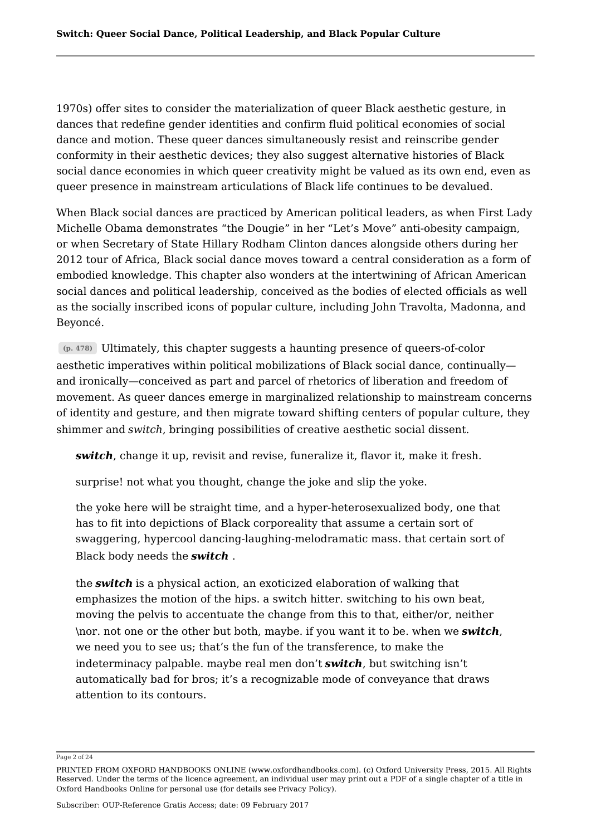1970s) offer sites to consider the materialization of queer Black aesthetic gesture, in dances that redefine gender identities and confirm fluid political economies of social dance and motion. These queer dances simultaneously resist and reinscribe gender conformity in their aesthetic devices; they also suggest alternative histories of Black social dance economies in which queer creativity might be valued as its own end, even as queer presence in mainstream articulations of Black life continues to be devalued.

When Black social dances are practiced by American political leaders, as when First Lady Michelle Obama demonstrates "the Dougie" in her "Let's Move" anti-obesity campaign, or when Secretary of State Hillary Rodham Clinton dances alongside others during her 2012 tour of Africa, Black social dance moves toward a central consideration as a form of embodied knowledge. This chapter also wonders at the intertwining of African American social dances and political leadership, conceived as the bodies of elected officials as well as the socially inscribed icons of popular culture, including John Travolta, Madonna, and Beyoncé.

**(p. 478)** Ultimately, this chapter suggests a haunting presence of queers-of-color aesthetic imperatives within political mobilizations of Black social dance, continually and ironically—conceived as part and parcel of rhetorics of liberation and freedom of movement. As queer dances emerge in marginalized relationship to mainstream concerns of identity and gesture, and then migrate toward shifting centers of popular culture, they shimmer and *switch*, bringing possibilities of creative aesthetic social dissent.

*switch*, change it up, revisit and revise, funeralize it, flavor it, make it fresh.

surprise! not what you thought, change the joke and slip the yoke.

the yoke here will be straight time, and a hyper-heterosexualized body, one that has to fit into depictions of Black corporeality that assume a certain sort of swaggering, hypercool dancing-laughing-melodramatic mass. that certain sort of Black body needs the *switch* .

the *switch* is a physical action, an exoticized elaboration of walking that emphasizes the motion of the hips. a switch hitter. switching to his own beat, moving the pelvis to accentuate the change from this to that, either/or, neither \nor. not one or the other but both, maybe. if you want it to be. when we *switch*, we need you to see us; that's the fun of the transference, to make the indeterminacy palpable. maybe real men don't *switch*, but switching isn't automatically bad for bros; it's a recognizable mode of conveyance that draws attention to its contours.

Page 2 of 24

PRINTED FROM OXFORD HANDBOOKS ONLINE (www.oxfordhandbooks.com). (c) Oxford University Press, 2015. All Rights Reserved. Under the terms of the licence agreement, an individual user may print out a PDF of a single chapter of a title in Oxford Handbooks Online for personal use (for details see Privacy Policy).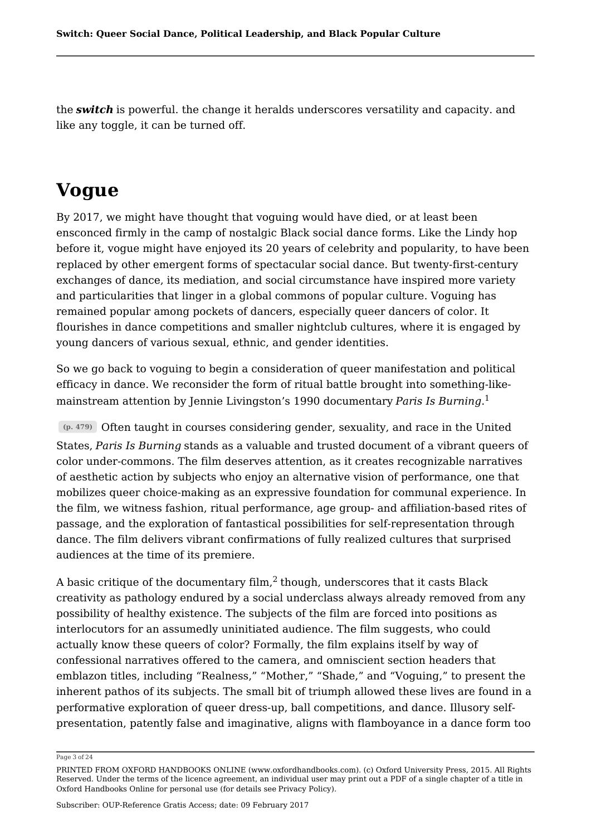the *switch* is powerful. the change it heralds underscores versatility and capacity. and like any toggle, it can be turned off.

## **Vogue**

By 2017, we might have thought that voguing would have died, or at least been ensconced firmly in the camp of nostalgic Black social dance forms. Like the Lindy hop before it, vogue might have enjoyed its 20 years of celebrity and popularity, to have been replaced by other emergent forms of spectacular social dance. But twenty-first-century exchanges of dance, its mediation, and social circumstance have inspired more variety and particularities that linger in a global commons of popular culture. Voguing has remained popular among pockets of dancers, especially queer dancers of color. It flourishes in dance competitions and smaller nightclub cultures, where it is engaged by young dancers of various sexual, ethnic, and gender identities.

So we go back to voguing to begin a consideration of queer manifestation and political efficacy in dance. We reconsider the form of ritual battle brought into something-likemainstream attention by Jennie Livingston's 1990 documentary *Paris Is Burning*. 1

**(p. 479)** Often taught in courses considering gender, sexuality, and race in the United States, *Paris Is Burning* stands as a valuable and trusted document of a vibrant queers of color under-commons. The film deserves attention, as it creates recognizable narratives of aesthetic action by subjects who enjoy an alternative vision of performance, one that mobilizes queer choice-making as an expressive foundation for communal experience. In the film, we witness fashion, ritual performance, age group- and affiliation-based rites of passage, and the exploration of fantastical possibilities for self-representation through dance. The film delivers vibrant confirmations of fully realized cultures that surprised audiences at the time of its premiere.

A basic critique of the documentary film, $^2$  though, underscores that it casts Black creativity as pathology endured by a social underclass always already removed from any possibility of healthy existence. The subjects of the film are forced into positions as interlocutors for an assumedly uninitiated audience. The film suggests, who could actually know these queers of color? Formally, the film explains itself by way of confessional narratives offered to the camera, and omniscient section headers that emblazon titles, including "Realness," "Mother," "Shade," and "Voguing," to present the inherent pathos of its subjects. The small bit of triumph allowed these lives are found in a performative exploration of queer dress-up, ball competitions, and dance. Illusory selfpresentation, patently false and imaginative, aligns with flamboyance in a dance form too

#### Page 3 of 24

PRINTED FROM OXFORD HANDBOOKS ONLINE (www.oxfordhandbooks.com). (c) Oxford University Press, 2015. All Rights Reserved. Under the terms of the licence agreement, an individual user may print out a PDF of a single chapter of a title in Oxford Handbooks Online for personal use (for details see Privacy Policy).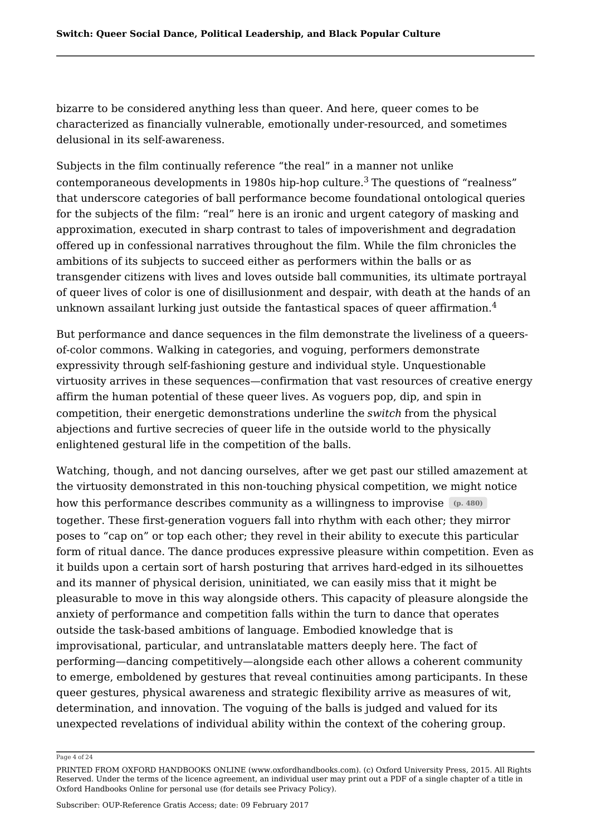bizarre to be considered anything less than queer. And here, queer comes to be characterized as financially vulnerable, emotionally under-resourced, and sometimes delusional in its self-awareness.

Subjects in the film continually reference "the real" in a manner not unlike contemporaneous developments in 1980s hip-hop culture. $^3$  The questions of "realness"  $\,$ that underscore categories of ball performance become foundational ontological queries for the subjects of the film: "real" here is an ironic and urgent category of masking and approximation, executed in sharp contrast to tales of impoverishment and degradation offered up in confessional narratives throughout the film. While the film chronicles the ambitions of its subjects to succeed either as performers within the balls or as transgender citizens with lives and loves outside ball communities, its ultimate portrayal of queer lives of color is one of disillusionment and despair, with death at the hands of an unknown assailant lurking just outside the fantastical spaces of queer affirmation. $^4$ 

But performance and dance sequences in the film demonstrate the liveliness of a queersof-color commons. Walking in categories, and voguing, performers demonstrate expressivity through self-fashioning gesture and individual style. Unquestionable virtuosity arrives in these sequences—confirmation that vast resources of creative energy affirm the human potential of these queer lives. As voguers pop, dip, and spin in competition, their energetic demonstrations underline the *switch* from the physical abjections and furtive secrecies of queer life in the outside world to the physically enlightened gestural life in the competition of the balls.

Watching, though, and not dancing ourselves, after we get past our stilled amazement at the virtuosity demonstrated in this non-touching physical competition, we might notice how this performance describes community as a willingness to improvise  $(p. 480)$ together. These first-generation voguers fall into rhythm with each other; they mirror poses to "cap on" or top each other; they revel in their ability to execute this particular form of ritual dance. The dance produces expressive pleasure within competition. Even as it builds upon a certain sort of harsh posturing that arrives hard-edged in its silhouettes and its manner of physical derision, uninitiated, we can easily miss that it might be pleasurable to move in this way alongside others. This capacity of pleasure alongside the anxiety of performance and competition falls within the turn to dance that operates outside the task-based ambitions of language. Embodied knowledge that is improvisational, particular, and untranslatable matters deeply here. The fact of performing—dancing competitively—alongside each other allows a coherent community to emerge, emboldened by gestures that reveal continuities among participants. In these queer gestures, physical awareness and strategic flexibility arrive as measures of wit, determination, and innovation. The voguing of the balls is judged and valued for its unexpected revelations of individual ability within the context of the cohering group.

#### Page 4 of 24

PRINTED FROM OXFORD HANDBOOKS ONLINE (www.oxfordhandbooks.com). (c) Oxford University Press, 2015. All Rights Reserved. Under the terms of the licence agreement, an individual user may print out a PDF of a single chapter of a title in Oxford Handbooks Online for personal use (for details see Privacy Policy).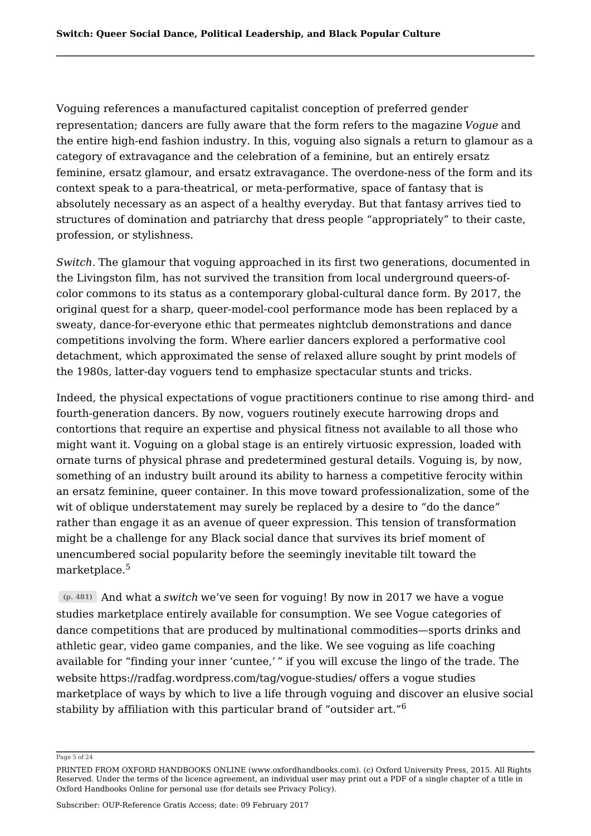Voguing references a manufactured capitalist conception of preferred gender representation; dancers are fully aware that the form refers to the magazine *Vogue* and the entire high-end fashion industry. In this, voguing also signals a return to glamour as a category of extravagance and the celebration of a feminine, but an entirely ersatz feminine, ersatz glamour, and ersatz extravagance. The overdone-ness of the form and its context speak to a para-theatrical, or meta-performative, space of fantasy that is absolutely necessary as an aspect of a healthy everyday. But that fantasy arrives tied to structures of domination and patriarchy that dress people "appropriately" to their caste, profession, or stylishness.

*Switch.* The glamour that voguing approached in its first two generations, documented in the Livingston film, has not survived the transition from local underground queers-ofcolor commons to its status as a contemporary global-cultural dance form. By 2017, the original quest for a sharp, queer-model-cool performance mode has been replaced by a sweaty, dance-for-everyone ethic that permeates nightclub demonstrations and dance competitions involving the form. Where earlier dancers explored a performative cool detachment, which approximated the sense of relaxed allure sought by print models of the 1980s, latter-day voguers tend to emphasize spectacular stunts and tricks.

Indeed, the physical expectations of vogue practitioners continue to rise among third- and fourth-generation dancers. By now, voguers routinely execute harrowing drops and contortions that require an expertise and physical fitness not available to all those who might want it. Voguing on a global stage is an entirely virtuosic expression, loaded with ornate turns of physical phrase and predetermined gestural details. Voguing is, by now, something of an industry built around its ability to harness a competitive ferocity within an ersatz feminine, queer container. In this move toward professionalization, some of the wit of oblique understatement may surely be replaced by a desire to "do the dance" rather than engage it as an avenue of queer expression. This tension of transformation might be a challenge for any Black social dance that survives its brief moment of unencumbered social popularity before the seemingly inevitable tilt toward the marketplace.  $5\,$ 

**(p. 481)** And what a *switch* we've seen for voguing! By now in 2017 we have a vogue studies marketplace entirely available for consumption. We see Vogue categories of dance competitions that are produced by multinational commodities—sports drinks and athletic gear, video game companies, and the like. We see voguing as life coaching available for "finding your inner 'cuntee,' " if you will excuse the lingo of the trade. The website https://radfag.wordpress.com/tag/vogue-studies/ offers a vogue studies marketplace of ways by which to live a life through voguing and discover an elusive social stability by affiliation with this particular brand of "outsider art." 6

Page 5 of 24

PRINTED FROM OXFORD HANDBOOKS ONLINE (www.oxfordhandbooks.com). (c) Oxford University Press, 2015. All Rights Reserved. Under the terms of the licence agreement, an individual user may print out a PDF of a single chapter of a title in Oxford Handbooks Online for personal use (for details see Privacy Policy).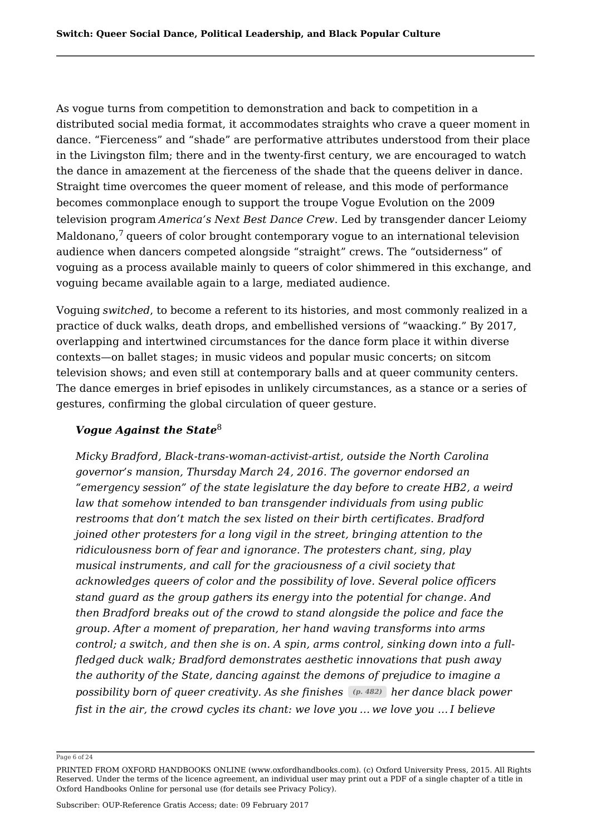As vogue turns from competition to demonstration and back to competition in a distributed social media format, it accommodates straights who crave a queer moment in dance. "Fierceness" and "shade" are performative attributes understood from their place in the Livingston film; there and in the twenty-first century, we are encouraged to watch the dance in amazement at the fierceness of the shade that the queens deliver in dance. Straight time overcomes the queer moment of release, and this mode of performance becomes commonplace enough to support the troupe Vogue Evolution on the 2009 television program *America's Next Best Dance Crew*. Led by transgender dancer Leiomy Maldonano, $^7$  queers of color brought contemporary vogue to an international television audience when dancers competed alongside "straight" crews. The "outsiderness" of voguing as a process available mainly to queers of color shimmered in this exchange, and voguing became available again to a large, mediated audience.

Voguing *switched*, to become a referent to its histories, and most commonly realized in a practice of duck walks, death drops, and embellished versions of "waacking." By 2017, overlapping and intertwined circumstances for the dance form place it within diverse contexts—on ballet stages; in music videos and popular music concerts; on sitcom television shows; and even still at contemporary balls and at queer community centers. The dance emerges in brief episodes in unlikely circumstances, as a stance or a series of gestures, confirming the global circulation of queer gesture.

#### *Vogue Against the State* 8

*Micky Bradford, Black-trans-woman-activist-artist, outside the North Carolina governor's mansion, Thursday March 24, 2016. The governor endorsed an "emergency session" of the state legislature the day before to create HB2, a weird law that somehow intended to ban transgender individuals from using public restrooms that don't match the sex listed on their birth certificates. Bradford joined other protesters for a long vigil in the street, bringing attention to the ridiculousness born of fear and ignorance. The protesters chant, sing, play musical instruments, and call for the graciousness of a civil society that acknowledges queers of color and the possibility of love. Several police officers stand guard as the group gathers its energy into the potential for change. And then Bradford breaks out of the crowd to stand alongside the police and face the group. After a moment of preparation, her hand waving transforms into arms control; a switch, and then she is on. A spin, arms control, sinking down into a fullfledged duck walk; Bradford demonstrates aesthetic innovations that push away the authority of the State, dancing against the demons of prejudice to imagine a possibility born of queer creativity. As she finishes (p. 482) her dance black power fist in the air, the crowd cycles its chant: we love you … we love you … I believe*

Page 6 of 24

PRINTED FROM OXFORD HANDBOOKS ONLINE (www.oxfordhandbooks.com). (c) Oxford University Press, 2015. All Rights Reserved. Under the terms of the licence agreement, an individual user may print out a PDF of a single chapter of a title in Oxford Handbooks Online for personal use (for details see Privacy Policy).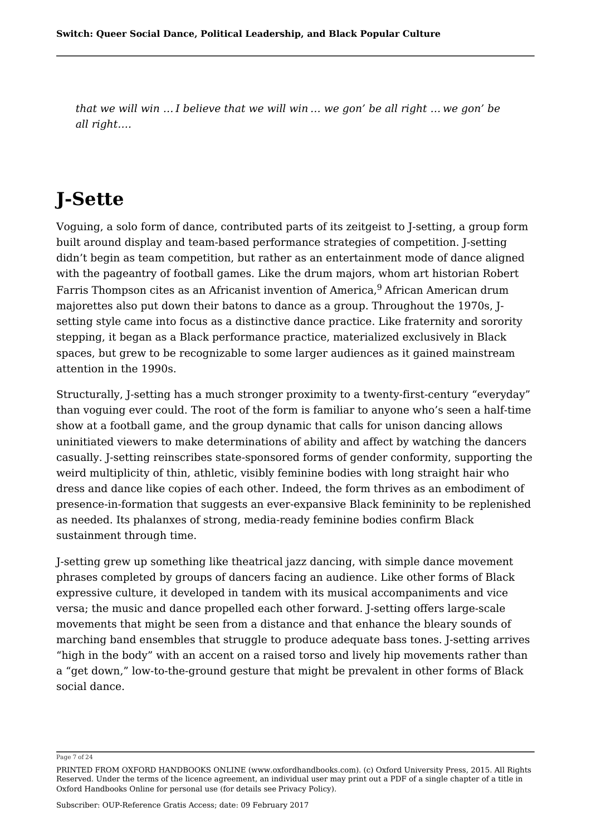*that we will win … I believe that we will win … we gon' be all right … we gon' be all right….*

# **J-Sette**

Voguing, a solo form of dance, contributed parts of its zeitgeist to J-setting, a group form built around display and team-based performance strategies of competition. J-setting didn't begin as team competition, but rather as an entertainment mode of dance aligned with the pageantry of football games. Like the drum majors, whom art historian Robert Farris Thompson cites as an Africanist invention of America,<sup>9</sup> African American drum majorettes also put down their batons to dance as a group. Throughout the 1970s, Jsetting style came into focus as a distinctive dance practice. Like fraternity and sorority stepping, it began as a Black performance practice, materialized exclusively in Black spaces, but grew to be recognizable to some larger audiences as it gained mainstream attention in the 1990s.

Structurally, J-setting has a much stronger proximity to a twenty-first-century "everyday" than voguing ever could. The root of the form is familiar to anyone who's seen a half-time show at a football game, and the group dynamic that calls for unison dancing allows uninitiated viewers to make determinations of ability and affect by watching the dancers casually. J-setting reinscribes state-sponsored forms of gender conformity, supporting the weird multiplicity of thin, athletic, visibly feminine bodies with long straight hair who dress and dance like copies of each other. Indeed, the form thrives as an embodiment of presence-in-formation that suggests an ever-expansive Black femininity to be replenished as needed. Its phalanxes of strong, media-ready feminine bodies confirm Black sustainment through time.

J-setting grew up something like theatrical jazz dancing, with simple dance movement phrases completed by groups of dancers facing an audience. Like other forms of Black expressive culture, it developed in tandem with its musical accompaniments and vice versa; the music and dance propelled each other forward. J-setting offers large-scale movements that might be seen from a distance and that enhance the bleary sounds of marching band ensembles that struggle to produce adequate bass tones. J-setting arrives "high in the body" with an accent on a raised torso and lively hip movements rather than a "get down," low-to-the-ground gesture that might be prevalent in other forms of Black social dance.

Page 7 of 24

PRINTED FROM OXFORD HANDBOOKS ONLINE (www.oxfordhandbooks.com). (c) Oxford University Press, 2015. All Rights Reserved. Under the terms of the licence agreement, an individual user may print out a PDF of a single chapter of a title in Oxford Handbooks Online for personal use (for details see Privacy Policy).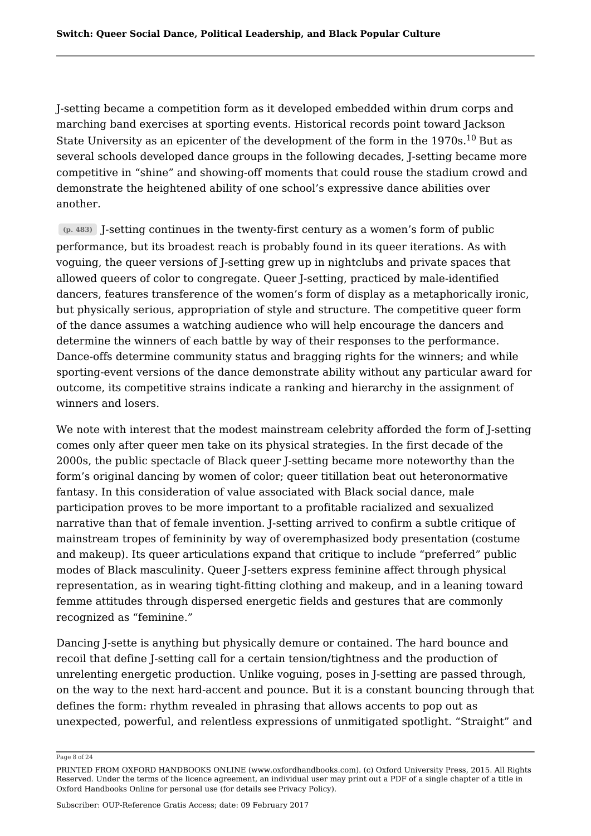J-setting became a competition form as it developed embedded within drum corps and marching band exercises at sporting events. Historical records point toward Jackson State University as an epicenter of the development of the form in the  $1970\mathrm{s}.^{10}$  But as several schools developed dance groups in the following decades, J-setting became more competitive in "shine" and showing-off moments that could rouse the stadium crowd and demonstrate the heightened ability of one school's expressive dance abilities over another.

**(p. 483)** J-setting continues in the twenty-first century as a women's form of public performance, but its broadest reach is probably found in its queer iterations. As with voguing, the queer versions of J-setting grew up in nightclubs and private spaces that allowed queers of color to congregate. Queer J-setting, practiced by male-identified dancers, features transference of the women's form of display as a metaphorically ironic, but physically serious, appropriation of style and structure. The competitive queer form of the dance assumes a watching audience who will help encourage the dancers and determine the winners of each battle by way of their responses to the performance. Dance-offs determine community status and bragging rights for the winners; and while sporting-event versions of the dance demonstrate ability without any particular award for outcome, its competitive strains indicate a ranking and hierarchy in the assignment of winners and losers.

We note with interest that the modest mainstream celebrity afforded the form of I-setting comes only after queer men take on its physical strategies. In the first decade of the 2000s, the public spectacle of Black queer J-setting became more noteworthy than the form's original dancing by women of color; queer titillation beat out heteronormative fantasy. In this consideration of value associated with Black social dance, male participation proves to be more important to a profitable racialized and sexualized narrative than that of female invention. J-setting arrived to confirm a subtle critique of mainstream tropes of femininity by way of overemphasized body presentation (costume and makeup). Its queer articulations expand that critique to include "preferred" public modes of Black masculinity. Queer J-setters express feminine affect through physical representation, as in wearing tight-fitting clothing and makeup, and in a leaning toward femme attitudes through dispersed energetic fields and gestures that are commonly recognized as "feminine."

Dancing J-sette is anything but physically demure or contained. The hard bounce and recoil that define J-setting call for a certain tension/tightness and the production of unrelenting energetic production. Unlike voguing, poses in J-setting are passed through, on the way to the next hard-accent and pounce. But it is a constant bouncing through that defines the form: rhythm revealed in phrasing that allows accents to pop out as unexpected, powerful, and relentless expressions of unmitigated spotlight. "Straight" and

Page 8 of 24

PRINTED FROM OXFORD HANDBOOKS ONLINE (www.oxfordhandbooks.com). (c) Oxford University Press, 2015. All Rights Reserved. Under the terms of the licence agreement, an individual user may print out a PDF of a single chapter of a title in Oxford Handbooks Online for personal use (for details see Privacy Policy).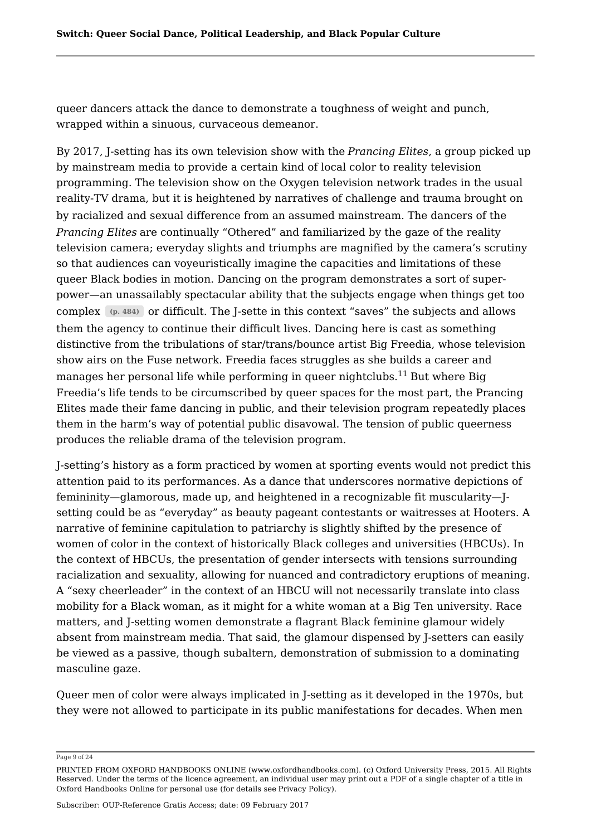queer dancers attack the dance to demonstrate a toughness of weight and punch, wrapped within a sinuous, curvaceous demeanor.

By 2017, J-setting has its own television show with the *Prancing Elites*, a group picked up by mainstream media to provide a certain kind of local color to reality television programming. The television show on the Oxygen television network trades in the usual reality-TV drama, but it is heightened by narratives of challenge and trauma brought on by racialized and sexual difference from an assumed mainstream. The dancers of the *Prancing Elites* are continually "Othered" and familiarized by the gaze of the reality television camera; everyday slights and triumphs are magnified by the camera's scrutiny so that audiences can voyeuristically imagine the capacities and limitations of these queer Black bodies in motion. Dancing on the program demonstrates a sort of superpower—an unassailably spectacular ability that the subjects engage when things get too complex **(p. 484)** or difficult. The J-sette in this context "saves" the subjects and allows them the agency to continue their difficult lives. Dancing here is cast as something distinctive from the tribulations of star/trans/bounce artist Big Freedia, whose television show airs on the Fuse network. Freedia faces struggles as she builds a career and manages her personal life while performing in queer nightclubs. $^{11}$  But where Big  $\,$ Freedia's life tends to be circumscribed by queer spaces for the most part, the Prancing Elites made their fame dancing in public, and their television program repeatedly places them in the harm's way of potential public disavowal. The tension of public queerness produces the reliable drama of the television program.

J-setting's history as a form practiced by women at sporting events would not predict this attention paid to its performances. As a dance that underscores normative depictions of femininity—glamorous, made up, and heightened in a recognizable fit muscularity—Jsetting could be as "everyday" as beauty pageant contestants or waitresses at Hooters. A narrative of feminine capitulation to patriarchy is slightly shifted by the presence of women of color in the context of historically Black colleges and universities (HBCUs). In the context of HBCUs, the presentation of gender intersects with tensions surrounding racialization and sexuality, allowing for nuanced and contradictory eruptions of meaning. A "sexy cheerleader" in the context of an HBCU will not necessarily translate into class mobility for a Black woman, as it might for a white woman at a Big Ten university. Race matters, and J-setting women demonstrate a flagrant Black feminine glamour widely absent from mainstream media. That said, the glamour dispensed by J-setters can easily be viewed as a passive, though subaltern, demonstration of submission to a dominating masculine gaze.

Queer men of color were always implicated in J-setting as it developed in the 1970s, but they were not allowed to participate in its public manifestations for decades. When men

Page 9 of 24

PRINTED FROM OXFORD HANDBOOKS ONLINE (www.oxfordhandbooks.com). (c) Oxford University Press, 2015. All Rights Reserved. Under the terms of the licence agreement, an individual user may print out a PDF of a single chapter of a title in Oxford Handbooks Online for personal use (for details see Privacy Policy).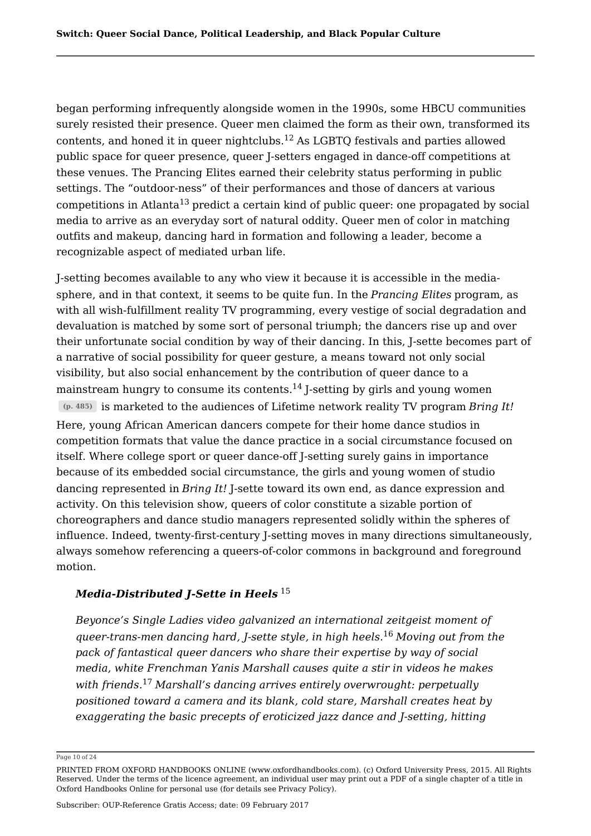began performing infrequently alongside women in the 1990s, some HBCU communities surely resisted their presence. Queer men claimed the form as their own, transformed its contents, and honed it in queer nightclubs. $^{12}$  As LGBTQ festivals and parties allowed public space for queer presence, queer J-setters engaged in dance-off competitions at these venues. The Prancing Elites earned their celebrity status performing in public settings. The "outdoor-ness" of their performances and those of dancers at various competitions in Atlanta $^{13}$  predict a certain kind of public queer: one propagated by social media to arrive as an everyday sort of natural oddity. Queer men of color in matching outfits and makeup, dancing hard in formation and following a leader, become a recognizable aspect of mediated urban life.

J-setting becomes available to any who view it because it is accessible in the mediasphere, and in that context, it seems to be quite fun. In the *Prancing Elites* program, as with all wish-fulfillment reality TV programming, every vestige of social degradation and devaluation is matched by some sort of personal triumph; the dancers rise up and over their unfortunate social condition by way of their dancing. In this, J-sette becomes part of a narrative of social possibility for queer gesture, a means toward not only social visibility, but also social enhancement by the contribution of queer dance to a mainstream hungry to consume its contents. $^{14}$  J-setting by girls and young women **(p. 485)** is marketed to the audiences of Lifetime network reality TV program *Bring It!* Here, young African American dancers compete for their home dance studios in competition formats that value the dance practice in a social circumstance focused on itself. Where college sport or queer dance-off J-setting surely gains in importance because of its embedded social circumstance, the girls and young women of studio dancing represented in *Bring It!* J-sette toward its own end, as dance expression and activity. On this television show, queers of color constitute a sizable portion of choreographers and dance studio managers represented solidly within the spheres of influence. Indeed, twenty-first-century J-setting moves in many directions simultaneously, always somehow referencing a queers-of-color commons in background and foreground motion.

#### *Media-Distributed J-Sette in Heels* 15

*Beyonce's Single Ladies video galvanized an international zeitgeist moment of queer-trans-men dancing hard, J-sette style, in high heels. Moving out from the* 16 *pack of fantastical queer dancers who share their expertise by way of social media, white Frenchman Yanis Marshall causes quite a stir in videos he makes with friends. Marshall's dancing arrives entirely overwrought: perpetually* 17*positioned toward a camera and its blank, cold stare, Marshall creates heat by exaggerating the basic precepts of eroticized jazz dance and J-setting, hitting*

Page 10 of 24

PRINTED FROM OXFORD HANDBOOKS ONLINE (www.oxfordhandbooks.com). (c) Oxford University Press, 2015. All Rights Reserved. Under the terms of the licence agreement, an individual user may print out a PDF of a single chapter of a title in Oxford Handbooks Online for personal use (for details see Privacy Policy).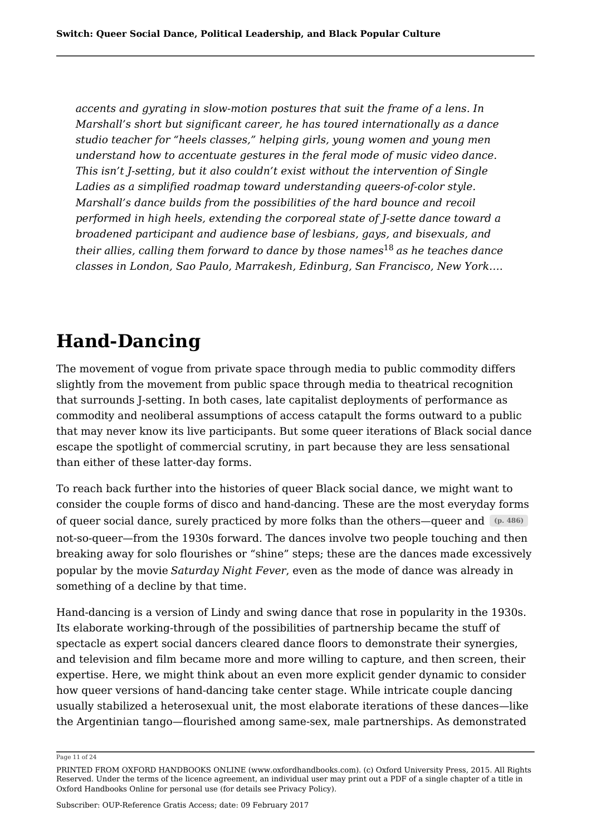*accents and gyrating in slow-motion postures that suit the frame of a lens. In Marshall's short but significant career, he has toured internationally as a dance studio teacher for "heels classes," helping girls, young women and young men understand how to accentuate gestures in the feral mode of music video dance. This isn't J-setting, but it also couldn't exist without the intervention of Single Ladies as a simplified roadmap toward understanding queers-of-color style. Marshall's dance builds from the possibilities of the hard bounce and recoil performed in high heels, extending the corporeal state of J-sette dance toward a broadened participant and audience base of lesbians, gays, and bisexuals, and* their allies, calling them forward to dance by those names<sup>18</sup> as he teaches dance *classes in London, Sao Paulo, Marrakesh, Edinburg, San Francisco, New York…*.

## **Hand-Dancing**

The movement of vogue from private space through media to public commodity differs slightly from the movement from public space through media to theatrical recognition that surrounds J-setting. In both cases, late capitalist deployments of performance as commodity and neoliberal assumptions of access catapult the forms outward to a public that may never know its live participants. But some queer iterations of Black social dance escape the spotlight of commercial scrutiny, in part because they are less sensational than either of these latter-day forms.

To reach back further into the histories of queer Black social dance, we might want to consider the couple forms of disco and hand-dancing. These are the most everyday forms of queer social dance, surely practiced by more folks than the others—queer and **(p. 486)** not-so-queer—from the 1930s forward. The dances involve two people touching and then breaking away for solo flourishes or "shine" steps; these are the dances made excessively popular by the movie *Saturday Night Fever*, even as the mode of dance was already in something of a decline by that time.

Hand-dancing is a version of Lindy and swing dance that rose in popularity in the 1930s. Its elaborate working-through of the possibilities of partnership became the stuff of spectacle as expert social dancers cleared dance floors to demonstrate their synergies, and television and film became more and more willing to capture, and then screen, their expertise. Here, we might think about an even more explicit gender dynamic to consider how queer versions of hand-dancing take center stage. While intricate couple dancing usually stabilized a heterosexual unit, the most elaborate iterations of these dances—like the Argentinian tango—flourished among same-sex, male partnerships. As demonstrated

Page 11 of 24

PRINTED FROM OXFORD HANDBOOKS ONLINE (www.oxfordhandbooks.com). (c) Oxford University Press, 2015. All Rights Reserved. Under the terms of the licence agreement, an individual user may print out a PDF of a single chapter of a title in Oxford Handbooks Online for personal use (for details see Privacy Policy).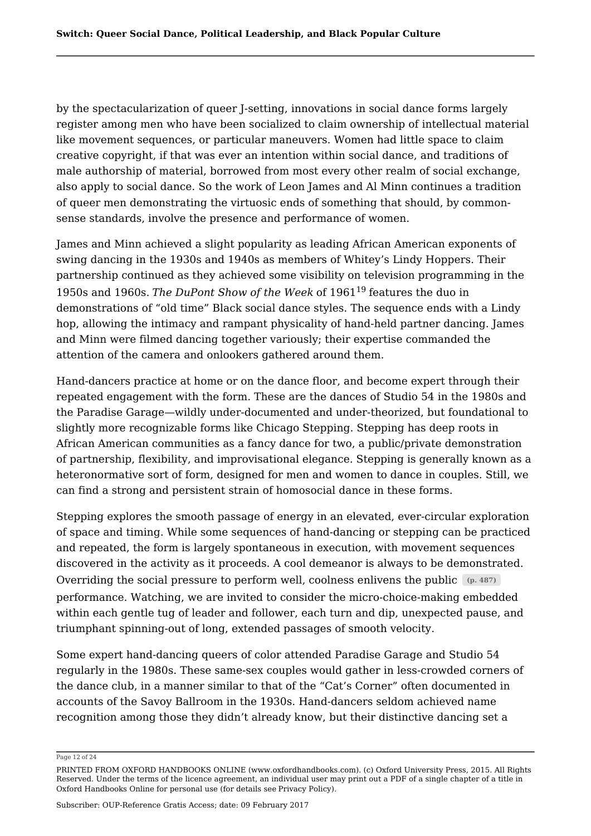by the spectacularization of queer J-setting, innovations in social dance forms largely register among men who have been socialized to claim ownership of intellectual material like movement sequences, or particular maneuvers. Women had little space to claim creative copyright, if that was ever an intention within social dance, and traditions of male authorship of material, borrowed from most every other realm of social exchange, also apply to social dance. So the work of Leon James and Al Minn continues a tradition of queer men demonstrating the virtuosic ends of something that should, by commonsense standards, involve the presence and performance of women.

James and Minn achieved a slight popularity as leading African American exponents of swing dancing in the 1930s and 1940s as members of Whitey's Lindy Hoppers. Their partnership continued as they achieved some visibility on television programming in the 1950s and 1960s. *The DuPont Show of the Week* of 1961 features the duo in 19demonstrations of "old time" Black social dance styles. The sequence ends with a Lindy hop, allowing the intimacy and rampant physicality of hand-held partner dancing. James and Minn were filmed dancing together variously; their expertise commanded the attention of the camera and onlookers gathered around them.

Hand-dancers practice at home or on the dance floor, and become expert through their repeated engagement with the form. These are the dances of Studio 54 in the 1980s and the Paradise Garage—wildly under-documented and under-theorized, but foundational to slightly more recognizable forms like Chicago Stepping. Stepping has deep roots in African American communities as a fancy dance for two, a public/private demonstration of partnership, flexibility, and improvisational elegance. Stepping is generally known as a heteronormative sort of form, designed for men and women to dance in couples. Still, we can find a strong and persistent strain of homosocial dance in these forms.

Stepping explores the smooth passage of energy in an elevated, ever-circular exploration of space and timing. While some sequences of hand-dancing or stepping can be practiced and repeated, the form is largely spontaneous in execution, with movement sequences discovered in the activity as it proceeds. A cool demeanor is always to be demonstrated. Overriding the social pressure to perform well, coolness enlivens the public **(p. 487)** performance. Watching, we are invited to consider the micro-choice-making embedded within each gentle tug of leader and follower, each turn and dip, unexpected pause, and triumphant spinning-out of long, extended passages of smooth velocity.

Some expert hand-dancing queers of color attended Paradise Garage and Studio 54 regularly in the 1980s. These same-sex couples would gather in less-crowded corners of the dance club, in a manner similar to that of the "Cat's Corner" often documented in accounts of the Savoy Ballroom in the 1930s. Hand-dancers seldom achieved name recognition among those they didn't already know, but their distinctive dancing set a

Page 12 of 24

PRINTED FROM OXFORD HANDBOOKS ONLINE (www.oxfordhandbooks.com). (c) Oxford University Press, 2015. All Rights Reserved. Under the terms of the licence agreement, an individual user may print out a PDF of a single chapter of a title in Oxford Handbooks Online for personal use (for details see Privacy Policy).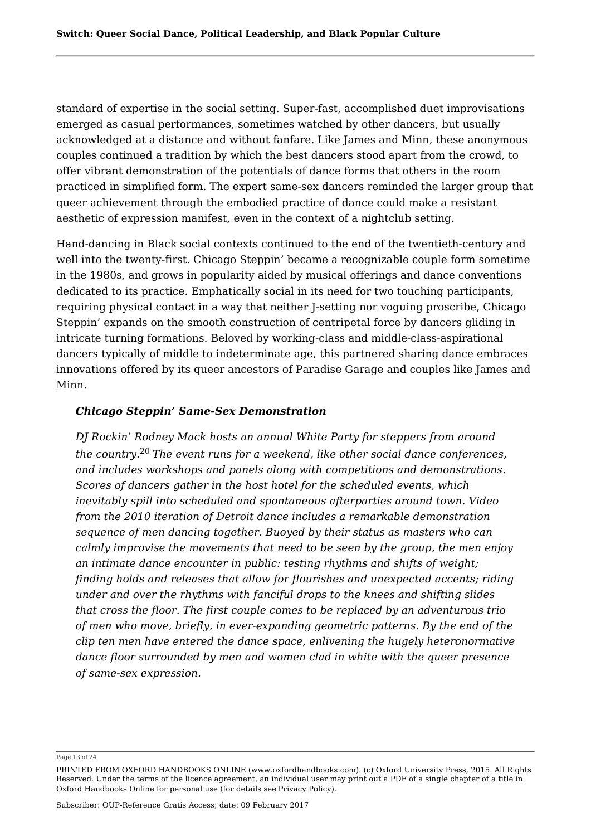standard of expertise in the social setting. Super-fast, accomplished duet improvisations emerged as casual performances, sometimes watched by other dancers, but usually acknowledged at a distance and without fanfare. Like James and Minn, these anonymous couples continued a tradition by which the best dancers stood apart from the crowd, to offer vibrant demonstration of the potentials of dance forms that others in the room practiced in simplified form. The expert same-sex dancers reminded the larger group that queer achievement through the embodied practice of dance could make a resistant aesthetic of expression manifest, even in the context of a nightclub setting.

Hand-dancing in Black social contexts continued to the end of the twentieth-century and well into the twenty-first. Chicago Steppin' became a recognizable couple form sometime in the 1980s, and grows in popularity aided by musical offerings and dance conventions dedicated to its practice. Emphatically social in its need for two touching participants, requiring physical contact in a way that neither J-setting nor voguing proscribe, Chicago Steppin' expands on the smooth construction of centripetal force by dancers gliding in intricate turning formations. Beloved by working-class and middle-class-aspirational dancers typically of middle to indeterminate age, this partnered sharing dance embraces innovations offered by its queer ancestors of Paradise Garage and couples like James and Minn.

#### *Chicago Steppin' Same-Sex Demonstration*

*DJ Rockin' Rodney Mack hosts an annual White Party for steppers from around the country. The event runs for a weekend, like other social dance conferences,* 20*and includes workshops and panels along with competitions and demonstrations. Scores of dancers gather in the host hotel for the scheduled events, which inevitably spill into scheduled and spontaneous afterparties around town. Video from the 2010 iteration of Detroit dance includes a remarkable demonstration sequence of men dancing together. Buoyed by their status as masters who can calmly improvise the movements that need to be seen by the group, the men enjoy an intimate dance encounter in public: testing rhythms and shifts of weight; finding holds and releases that allow for flourishes and unexpected accents; riding under and over the rhythms with fanciful drops to the knees and shifting slides that cross the floor. The first couple comes to be replaced by an adventurous trio of men who move, briefly, in ever-expanding geometric patterns. By the end of the clip ten men have entered the dance space, enlivening the hugely heteronormative dance floor surrounded by men and women clad in white with the queer presence of same-sex expression.*

Page 13 of 24

PRINTED FROM OXFORD HANDBOOKS ONLINE (www.oxfordhandbooks.com). (c) Oxford University Press, 2015. All Rights Reserved. Under the terms of the licence agreement, an individual user may print out a PDF of a single chapter of a title in Oxford Handbooks Online for personal use (for details see Privacy Policy).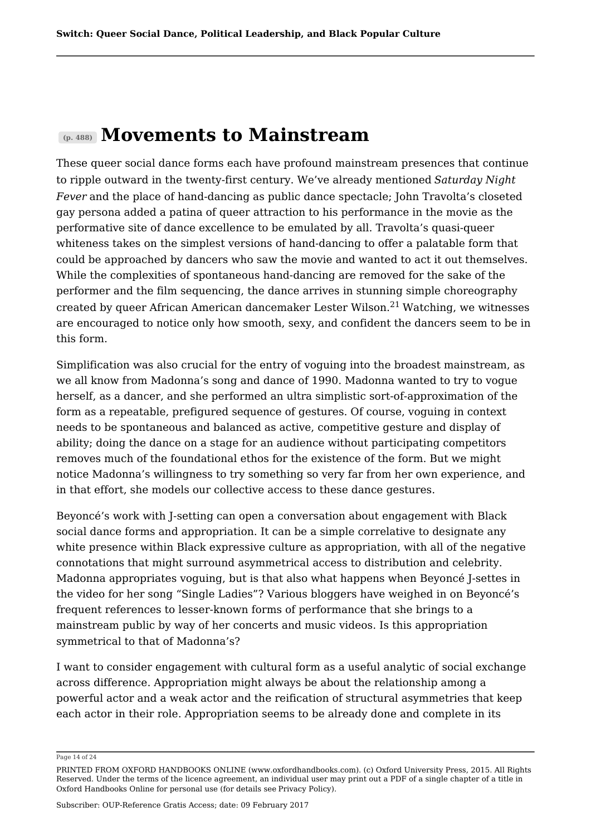## **(p. 488) Movements to Mainstream**

These queer social dance forms each have profound mainstream presences that continue to ripple outward in the twenty-first century. We've already mentioned *Saturday Night Fever* and the place of hand-dancing as public dance spectacle; John Travolta's closeted gay persona added a patina of queer attraction to his performance in the movie as the performative site of dance excellence to be emulated by all. Travolta's quasi-queer whiteness takes on the simplest versions of hand-dancing to offer a palatable form that could be approached by dancers who saw the movie and wanted to act it out themselves. While the complexities of spontaneous hand-dancing are removed for the sake of the performer and the film sequencing, the dance arrives in stunning simple choreography created by queer African American dancemaker Lester Wilson.<sup>21</sup> Watching, we witnesses are encouraged to notice only how smooth, sexy, and confident the dancers seem to be in this form.

Simplification was also crucial for the entry of voguing into the broadest mainstream, as we all know from Madonna's song and dance of 1990. Madonna wanted to try to vogue herself, as a dancer, and she performed an ultra simplistic sort-of-approximation of the form as a repeatable, prefigured sequence of gestures. Of course, voguing in context needs to be spontaneous and balanced as active, competitive gesture and display of ability; doing the dance on a stage for an audience without participating competitors removes much of the foundational ethos for the existence of the form. But we might notice Madonna's willingness to try something so very far from her own experience, and in that effort, she models our collective access to these dance gestures.

Beyoncé's work with J-setting can open a conversation about engagement with Black social dance forms and appropriation. It can be a simple correlative to designate any white presence within Black expressive culture as appropriation, with all of the negative connotations that might surround asymmetrical access to distribution and celebrity. Madonna appropriates voguing, but is that also what happens when Beyoncé J-settes in the video for her song "Single Ladies"? Various bloggers have weighed in on Beyoncé's frequent references to lesser-known forms of performance that she brings to a mainstream public by way of her concerts and music videos. Is this appropriation symmetrical to that of Madonna's?

I want to consider engagement with cultural form as a useful analytic of social exchange across difference. Appropriation might always be about the relationship among a powerful actor and a weak actor and the reification of structural asymmetries that keep each actor in their role. Appropriation seems to be already done and complete in its

Page 14 of 24

PRINTED FROM OXFORD HANDBOOKS ONLINE (www.oxfordhandbooks.com). (c) Oxford University Press, 2015. All Rights Reserved. Under the terms of the licence agreement, an individual user may print out a PDF of a single chapter of a title in Oxford Handbooks Online for personal use (for details see Privacy Policy).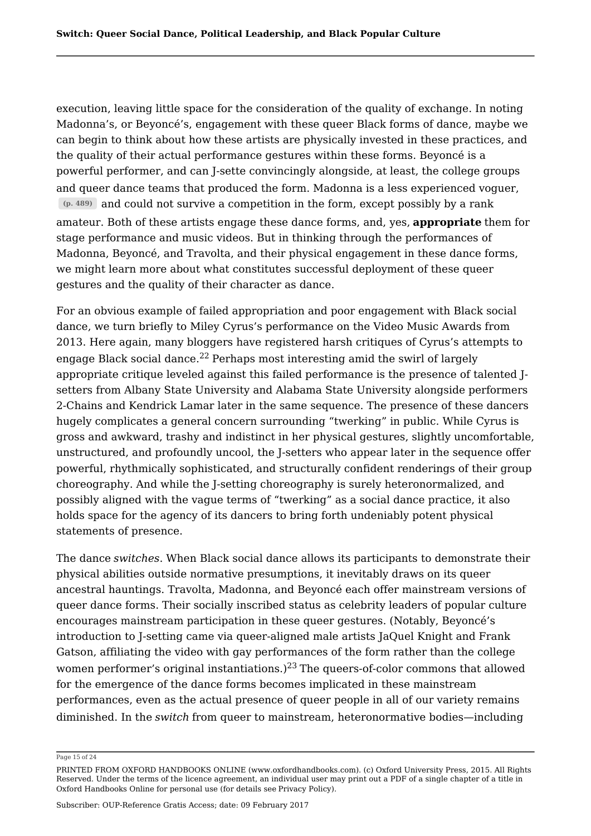execution, leaving little space for the consideration of the quality of exchange. In noting Madonna's, or Beyoncé's, engagement with these queer Black forms of dance, maybe we can begin to think about how these artists are physically invested in these practices, and the quality of their actual performance gestures within these forms. Beyoncé is a powerful performer, and can J-sette convincingly alongside, at least, the college groups and queer dance teams that produced the form. Madonna is a less experienced voguer, **(p. 489)** and could not survive a competition in the form, except possibly by a rank amateur. Both of these artists engage these dance forms, and, yes, **appropriate** them for stage performance and music videos. But in thinking through the performances of Madonna, Beyoncé, and Travolta, and their physical engagement in these dance forms, we might learn more about what constitutes successful deployment of these queer gestures and the quality of their character as dance.

For an obvious example of failed appropriation and poor engagement with Black social dance, we turn briefly to Miley Cyrus's performance on the Video Music Awards from 2013. Here again, many bloggers have registered harsh critiques of Cyrus's attempts to engage Black social dance.<sup>22</sup> Perhaps most interesting amid the swirl of largely appropriate critique leveled against this failed performance is the presence of talented Jsetters from Albany State University and Alabama State University alongside performers 2-Chains and Kendrick Lamar later in the same sequence. The presence of these dancers hugely complicates a general concern surrounding "twerking" in public. While Cyrus is gross and awkward, trashy and indistinct in her physical gestures, slightly uncomfortable, unstructured, and profoundly uncool, the J-setters who appear later in the sequence offer powerful, rhythmically sophisticated, and structurally confident renderings of their group choreography. And while the J-setting choreography is surely heteronormalized, and possibly aligned with the vague terms of "twerking" as a social dance practice, it also holds space for the agency of its dancers to bring forth undeniably potent physical statements of presence.

The dance *switches*. When Black social dance allows its participants to demonstrate their physical abilities outside normative presumptions, it inevitably draws on its queer ancestral hauntings. Travolta, Madonna, and Beyoncé each offer mainstream versions of queer dance forms. Their socially inscribed status as celebrity leaders of popular culture encourages mainstream participation in these queer gestures. (Notably, Beyoncé's introduction to J-setting came via queer-aligned male artists JaQuel Knight and Frank Gatson, affiliating the video with gay performances of the form rather than the college women performer's original instantiations.) $^{23}$  The queers-of-color commons that allowed for the emergence of the dance forms becomes implicated in these mainstream performances, even as the actual presence of queer people in all of our variety remains diminished. In the *switch* from queer to mainstream, heteronormative bodies—including

Page 15 of 24

PRINTED FROM OXFORD HANDBOOKS ONLINE (www.oxfordhandbooks.com). (c) Oxford University Press, 2015. All Rights Reserved. Under the terms of the licence agreement, an individual user may print out a PDF of a single chapter of a title in Oxford Handbooks Online for personal use (for details see Privacy Policy).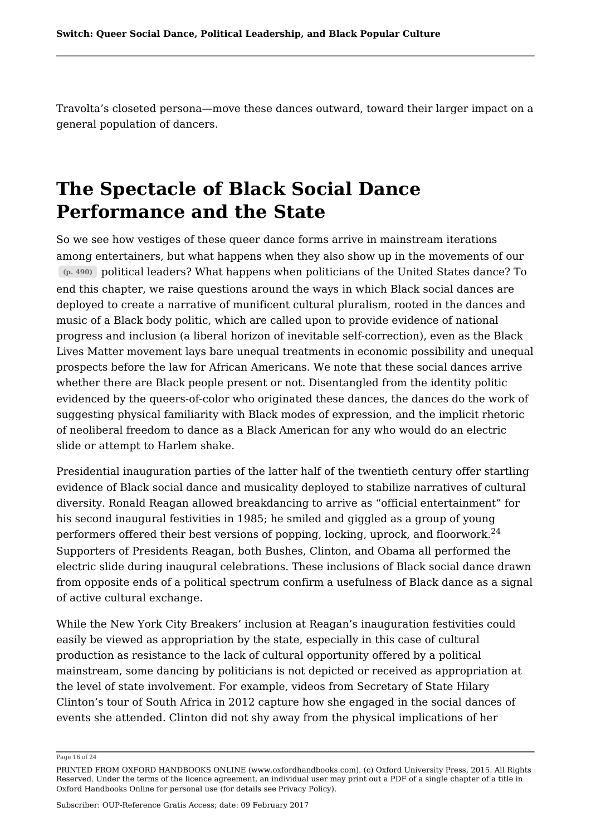Travolta's closeted persona—move these dances outward, toward their larger impact on a general population of dancers.

# **The Spectacle of Black Social Dance Performance and the State**

So we see how vestiges of these queer dance forms arrive in mainstream iterations among entertainers, but what happens when they also show up in the movements of our **(p. 490)** political leaders? What happens when politicians of the United States dance? To end this chapter, we raise questions around the ways in which Black social dances are deployed to create a narrative of munificent cultural pluralism, rooted in the dances and music of a Black body politic, which are called upon to provide evidence of national progress and inclusion (a liberal horizon of inevitable self-correction), even as the Black Lives Matter movement lays bare unequal treatments in economic possibility and unequal prospects before the law for African Americans. We note that these social dances arrive whether there are Black people present or not. Disentangled from the identity politic evidenced by the queers-of-color who originated these dances, the dances do the work of suggesting physical familiarity with Black modes of expression, and the implicit rhetoric of neoliberal freedom to dance as a Black American for any who would do an electric slide or attempt to Harlem shake.

Presidential inauguration parties of the latter half of the twentieth century offer startling evidence of Black social dance and musicality deployed to stabilize narratives of cultural diversity. Ronald Reagan allowed breakdancing to arrive as "official entertainment" for his second inaugural festivities in 1985; he smiled and giggled as a group of young performers offered their best versions of popping, locking, uprock, and floorwork.<sup>24</sup> Supporters of Presidents Reagan, both Bushes, Clinton, and Obama all performed the electric slide during inaugural celebrations. These inclusions of Black social dance drawn from opposite ends of a political spectrum confirm a usefulness of Black dance as a signal of active cultural exchange.

While the New York City Breakers' inclusion at Reagan's inauguration festivities could easily be viewed as appropriation by the state, especially in this case of cultural production as resistance to the lack of cultural opportunity offered by a political mainstream, some dancing by politicians is not depicted or received as appropriation at the level of state involvement. For example, videos from Secretary of State Hilary Clinton's tour of South Africa in 2012 capture how she engaged in the social dances of events she attended. Clinton did not shy away from the physical implications of her

Page 16 of 24

PRINTED FROM OXFORD HANDBOOKS ONLINE (www.oxfordhandbooks.com). (c) Oxford University Press, 2015. All Rights Reserved. Under the terms of the licence agreement, an individual user may print out a PDF of a single chapter of a title in Oxford Handbooks Online for personal use (for details see Privacy Policy).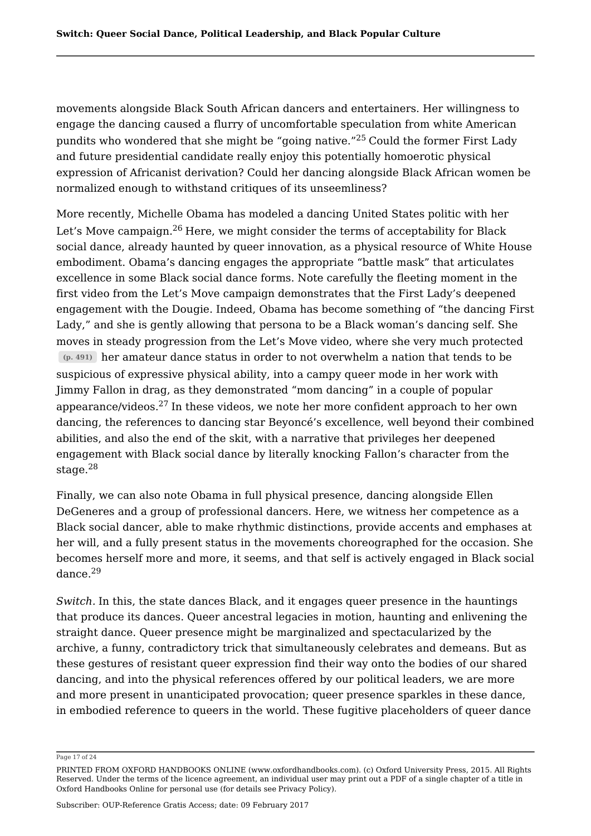movements alongside Black South African dancers and entertainers. Her willingness to engage the dancing caused a flurry of uncomfortable speculation from white American pundits who wondered that she might be "going native."<sup>25</sup> Could the former First Lady and future presidential candidate really enjoy this potentially homoerotic physical expression of Africanist derivation? Could her dancing alongside Black African women be normalized enough to withstand critiques of its unseemliness?

More recently, Michelle Obama has modeled a dancing United States politic with her Let's Move campaign.<sup>26</sup> Here, we might consider the terms of acceptability for Black social dance, already haunted by queer innovation, as a physical resource of White House embodiment. Obama's dancing engages the appropriate "battle mask" that articulates excellence in some Black social dance forms. Note carefully the fleeting moment in the first video from the Let's Move campaign demonstrates that the First Lady's deepened engagement with the Dougie. Indeed, Obama has become something of "the dancing First Lady," and she is gently allowing that persona to be a Black woman's dancing self. She moves in steady progression from the Let's Move video, where she very much protected **(p. 491)** her amateur dance status in order to not overwhelm a nation that tends to be suspicious of expressive physical ability, into a campy queer mode in her work with Jimmy Fallon in drag, as they demonstrated "mom dancing" in a couple of popular appearance/videos. $^{27}$  In these videos, we note her more confident approach to her own dancing, the references to dancing star Beyoncé's excellence, well beyond their combined abilities, and also the end of the skit, with a narrative that privileges her deepened engagement with Black social dance by literally knocking Fallon's character from the stage.<sup>28</sup> 28

Finally, we can also note Obama in full physical presence, dancing alongside Ellen DeGeneres and a group of professional dancers. Here, we witness her competence as a Black social dancer, able to make rhythmic distinctions, provide accents and emphases at her will, and a fully present status in the movements choreographed for the occasion. She becomes herself more and more, it seems, and that self is actively engaged in Black social dance. 29

*Switch.* In this, the state dances Black, and it engages queer presence in the hauntings that produce its dances. Queer ancestral legacies in motion, haunting and enlivening the straight dance. Queer presence might be marginalized and spectacularized by the archive, a funny, contradictory trick that simultaneously celebrates and demeans. But as these gestures of resistant queer expression find their way onto the bodies of our shared dancing, and into the physical references offered by our political leaders, we are more and more present in unanticipated provocation; queer presence sparkles in these dance, in embodied reference to queers in the world. These fugitive placeholders of queer dance

Page 17 of 24

PRINTED FROM OXFORD HANDBOOKS ONLINE (www.oxfordhandbooks.com). (c) Oxford University Press, 2015. All Rights Reserved. Under the terms of the licence agreement, an individual user may print out a PDF of a single chapter of a title in Oxford Handbooks Online for personal use (for details see Privacy Policy).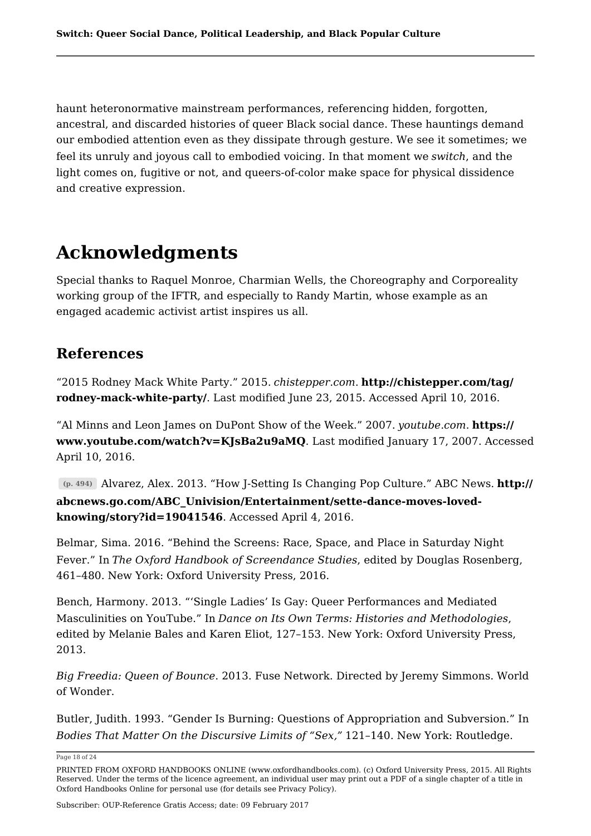haunt heteronormative mainstream performances, referencing hidden, forgotten, ancestral, and discarded histories of queer Black social dance. These hauntings demand our embodied attention even as they dissipate through gesture. We see it sometimes; we feel its unruly and joyous call to embodied voicing. In that moment we *switch*, and the light comes on, fugitive or not, and queers-of-color make space for physical dissidence and creative expression.

# **Acknowledgments**

Special thanks to Raquel Monroe, Charmian Wells, the Choreography and Corporeality working group of the IFTR, and especially to Randy Martin, whose example as an engaged academic activist artist inspires us all.

## **References**

"2015 Rodney Mack White Party." 2015. *chistepper.com*. **http://chistepper.com/tag/ rodney-mack-white-party/**. Last modified June 23, 2015. Accessed April 10, 2016.

"Al Minns and Leon James on DuPont Show of the Week." 2007. *youtube.com*. **https:// www.youtube.com/watch?v=KJsBa2u9aMQ**. Last modified January 17, 2007. Accessed April 10, 2016.

**(p. 494)** Alvarez, Alex. 2013. "How J-Setting Is Changing Pop Culture." ABC News. **http:// abcnews.go.com/ABC\_Univision/Entertainment/sette-dance-moves-lovedknowing/story?id=19041546**. Accessed April 4, 2016.

Belmar, Sima. 2016. "Behind the Screens: Race, Space, and Place in Saturday Night Fever." In *The Oxford Handbook of Screendance Studies*, edited by Douglas Rosenberg, 461–480. New York: Oxford University Press, 2016.

Bench, Harmony. 2013. "'Single Ladies' Is Gay: Queer Performances and Mediated Masculinities on YouTube." In *Dance on Its Own Terms: Histories and Methodologies*, edited by Melanie Bales and Karen Eliot, 127–153. New York: Oxford University Press, 2013.

*Big Freedia: Queen of Bounce*. 2013. Fuse Network. Directed by Jeremy Simmons. World of Wonder.

Butler, Judith. 1993. "Gender Is Burning: Questions of Appropriation and Subversion." In *Bodies That Matter On the Discursive Limits of "Sex,"* 121–140. New York: Routledge.

Page 18 of 24

PRINTED FROM OXFORD HANDBOOKS ONLINE (www.oxfordhandbooks.com). (c) Oxford University Press, 2015. All Rights Reserved. Under the terms of the licence agreement, an individual user may print out a PDF of a single chapter of a title in Oxford Handbooks Online for personal use (for details see Privacy Policy).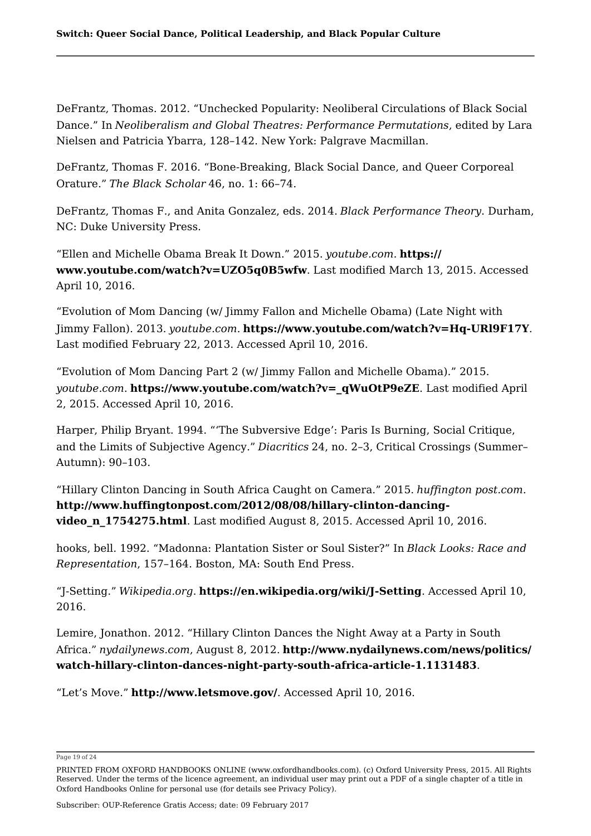DeFrantz, Thomas. 2012. "Unchecked Popularity: Neoliberal Circulations of Black Social Dance." In *Neoliberalism and Global Theatres: Performance Permutations*, edited by Lara Nielsen and Patricia Ybarra, 128–142. New York: Palgrave Macmillan.

DeFrantz, Thomas F. 2016. "Bone-Breaking, Black Social Dance, and Queer Corporeal Orature." *The Black Scholar* 46, no. 1: 66–74.

DeFrantz, Thomas F., and Anita Gonzalez, eds. 2014. *Black Performance Theory*. Durham, NC: Duke University Press.

"Ellen and Michelle Obama Break It Down." 2015. *youtube.com*. **https:// www.youtube.com/watch?v=UZO5q0B5wfw**. Last modified March 13, 2015. Accessed April 10, 2016.

"Evolution of Mom Dancing (w/ Jimmy Fallon and Michelle Obama) (Late Night with Jimmy Fallon). 2013. *youtube.com.* **https://www.youtube.com/watch?v=Hq-URl9F17Y**. Last modified February 22, 2013. Accessed April 10, 2016.

"Evolution of Mom Dancing Part 2 (w/ Jimmy Fallon and Michelle Obama)." 2015. *youtube.com*. **https://www.youtube.com/watch?v=\_qWuOtP9eZE**. Last modified April 2, 2015. Accessed April 10, 2016.

Harper, Philip Bryant. 1994. "'The Subversive Edge': Paris Is Burning, Social Critique, and the Limits of Subjective Agency." *Diacritics* 24, no. 2–3, Critical Crossings (Summer– Autumn): 90–103.

"Hillary Clinton Dancing in South Africa Caught on Camera." 2015. *huffington post.com*. **http://www.huffingtonpost.com/2012/08/08/hillary-clinton-dancingvideo\_n\_1754275.html**. Last modified August 8, 2015. Accessed April 10, 2016.

hooks, bell. 1992. "Madonna: Plantation Sister or Soul Sister?" In *Black Looks: Race and Representation*, 157–164. Boston, MA: South End Press.

"J-Setting." *Wikipedia.org*. **https://en.wikipedia.org/wiki/J-Setting**. Accessed April 10, 2016.

Lemire, Jonathon. 2012. "Hillary Clinton Dances the Night Away at a Party in South Africa." *nydailynews.com*, August 8, 2012. **http://www.nydailynews.com/news/politics/ watch-hillary-clinton-dances-night-party-south-africa-article-1.1131483**.

"Let's Move." **http://www.letsmove.gov/**. Accessed April 10, 2016.

Page 19 of 24

PRINTED FROM OXFORD HANDBOOKS ONLINE (www.oxfordhandbooks.com). (c) Oxford University Press, 2015. All Rights Reserved. Under the terms of the licence agreement, an individual user may print out a PDF of a single chapter of a title in Oxford Handbooks Online for personal use (for details see Privacy Policy).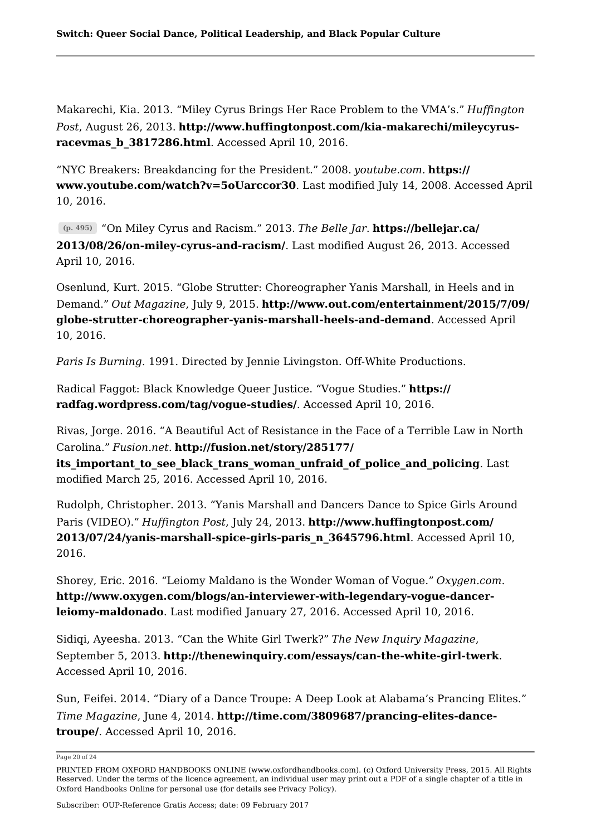Makarechi, Kia. 2013. "Miley Cyrus Brings Her Race Problem to the VMA's." *Huffington Post*, August 26, 2013. **http://www.huffingtonpost.com/kia-makarechi/mileycyrusracevmas\_b\_3817286.html**. Accessed April 10, 2016.

"NYC Breakers: Breakdancing for the President." 2008. *youtube.com*. **https:// www.youtube.com/watch?v=5oUarccor30**. Last modified July 14, 2008. Accessed April 10, 2016.

**(p. 495)** "On Miley Cyrus and Racism." 2013. *The Belle Jar*. **https://bellejar.ca/ 2013/08/26/on-miley-cyrus-and-racism/**. Last modified August 26, 2013. Accessed April 10, 2016.

Osenlund, Kurt. 2015. "Globe Strutter: Choreographer Yanis Marshall, in Heels and in Demand." *Out Magazine*, July 9, 2015. **http://www.out.com/entertainment/2015/7/09/ globe-strutter-choreographer-yanis-marshall-heels-and-demand**. Accessed April 10, 2016.

*Paris Is Burning*. 1991. Directed by Jennie Livingston. Off-White Productions.

Radical Faggot: Black Knowledge Queer Justice. "Vogue Studies." **https:// radfag.wordpress.com/tag/vogue-studies/**. Accessed April 10, 2016.

Rivas, Jorge. 2016. "A Beautiful Act of Resistance in the Face of a Terrible Law in North Carolina." *Fusion.net*. **http://fusion.net/story/285177/**

its important to see black trans woman unfraid of police and policing. Last modified March 25, 2016. Accessed April 10, 2016.

Rudolph, Christopher. 2013. "Yanis Marshall and Dancers Dance to Spice Girls Around Paris (VIDEO)." *Huffington Post*, July 24, 2013. **http://www.huffingtonpost.com/ 2013/07/24/yanis-marshall-spice-girls-paris\_n\_3645796.html**. Accessed April 10, 2016.

Shorey, Eric. 2016. "Leiomy Maldano is the Wonder Woman of Vogue." *Oxygen.com*. **http://www.oxygen.com/blogs/an-interviewer-with-legendary-vogue-dancerleiomy-maldonado**. Last modified January 27, 2016. Accessed April 10, 2016.

Sidiqi, Ayeesha. 2013. "Can the White Girl Twerk?" *The New Inquiry Magazine*, September 5, 2013. **http://thenewinquiry.com/essays/can-the-white-girl-twerk**. Accessed April 10, 2016.

Sun, Feifei. 2014. "Diary of a Dance Troupe: A Deep Look at Alabama's Prancing Elites." *Time Magazine*, June 4, 2014. **http://time.com/3809687/prancing-elites-dancetroupe/**. Accessed April 10, 2016.

Page 20 of 24

PRINTED FROM OXFORD HANDBOOKS ONLINE (www.oxfordhandbooks.com). (c) Oxford University Press, 2015. All Rights Reserved. Under the terms of the licence agreement, an individual user may print out a PDF of a single chapter of a title in Oxford Handbooks Online for personal use (for details see Privacy Policy).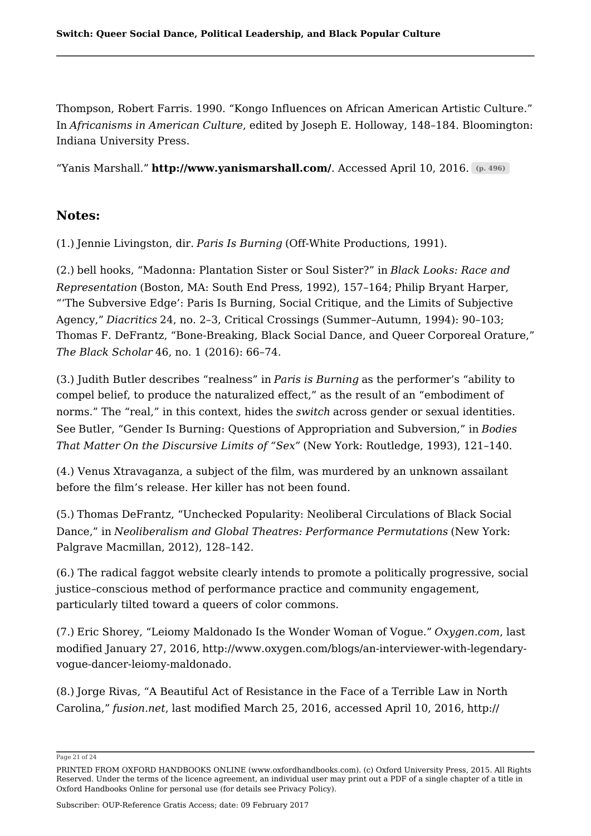Thompson, Robert Farris. 1990. "Kongo Influences on African American Artistic Culture." In *Africanisms in American Culture*, edited by Joseph E. Holloway, 148–184. Bloomington: Indiana University Press.

"Yanis Marshall." **http://www.yanismarshall.com/**. Accessed April 10, 2016. **(p. 496)**

### **Notes:**

(1.) Jennie Livingston, dir. *Paris Is Burning* (Off-White Productions, 1991).

(2.) bell hooks, "Madonna: Plantation Sister or Soul Sister?" in *Black Looks: Race and Representation* (Boston, MA: South End Press, 1992), 157–164; Philip Bryant Harper, "'The Subversive Edge': Paris Is Burning, Social Critique, and the Limits of Subjective Agency," *Diacritics* 24, no. 2–3, Critical Crossings (Summer–Autumn, 1994): 90–103; Thomas F. DeFrantz, "Bone-Breaking, Black Social Dance, and Queer Corporeal Orature," *The Black Scholar* 46, no. 1 (2016): 66–74.

(3.) Judith Butler describes "realness" in *Paris is Burning* as the performer's "ability to compel belief, to produce the naturalized effect," as the result of an "embodiment of norms." The "real," in this context, hides the *switch* across gender or sexual identities. See Butler, "Gender Is Burning: Questions of Appropriation and Subversion," in *Bodies That Matter On the Discursive Limits of "Sex"* (New York: Routledge, 1993), 121–140.

(4.) Venus Xtravaganza, a subject of the film, was murdered by an unknown assailant before the film's release. Her killer has not been found.

(5.) Thomas DeFrantz, "Unchecked Popularity: Neoliberal Circulations of Black Social Dance," in *Neoliberalism and Global Theatres: Performance Permutations* (New York: Palgrave Macmillan, 2012), 128–142.

(6.) The radical faggot website clearly intends to promote a politically progressive, social justice–conscious method of performance practice and community engagement, particularly tilted toward a queers of color commons.

(7.) Eric Shorey, "Leiomy Maldonado Is the Wonder Woman of Vogue." *Oxygen.com*, last modified January 27, 2016, http://www.oxygen.com/blogs/an-interviewer-with-legendaryvogue-dancer-leiomy-maldonado.

(8.) Jorge Rivas, "A Beautiful Act of Resistance in the Face of a Terrible Law in North Carolina," *fusion.net*, last modified March 25, 2016, accessed April 10, 2016, http://

Page 21 of 24

PRINTED FROM OXFORD HANDBOOKS ONLINE (www.oxfordhandbooks.com). (c) Oxford University Press, 2015. All Rights Reserved. Under the terms of the licence agreement, an individual user may print out a PDF of a single chapter of a title in Oxford Handbooks Online for personal use (for details see Privacy Policy).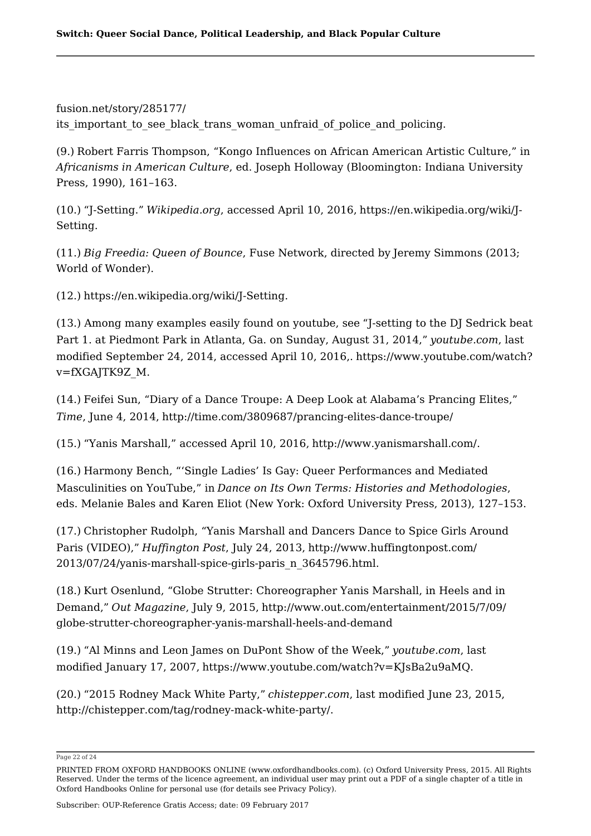fusion.net/story/285177/ its important to see black trans woman unfraid of police and policing.

(9.) Robert Farris Thompson, "Kongo Influences on African American Artistic Culture," in *Africanisms in American Culture*, ed. Joseph Holloway (Bloomington: Indiana University Press, 1990), 161–163.

(10.) "J-Setting." *Wikipedia.org*, accessed April 10, 2016, https://en.wikipedia.org/wiki/J-Setting.

(11.) *Big Freedia: Queen of Bounce*, Fuse Network, directed by Jeremy Simmons (2013; World of Wonder).

(12.) https://en.wikipedia.org/wiki/J-Setting.

(13.) Among many examples easily found on youtube, see "J-setting to the DJ Sedrick beat Part 1. at Piedmont Park in Atlanta, Ga. on Sunday, August 31, 2014," *youtube.com*, last modified September 24, 2014, accessed April 10, 2016,. https://www.youtube.com/watch? v=fXGAJTK9Z\_M.

(14.) Feifei Sun, "Diary of a Dance Troupe: A Deep Look at Alabama's Prancing Elites," *Time*, June 4, 2014, http://time.com/3809687/prancing-elites-dance-troupe/

(15.) "Yanis Marshall," accessed April 10, 2016, http://www.yanismarshall.com/.

(16.) Harmony Bench, "'Single Ladies' Is Gay: Queer Performances and Mediated Masculinities on YouTube," in *Dance on Its Own Terms: Histories and Methodologies*, eds. Melanie Bales and Karen Eliot (New York: Oxford University Press, 2013), 127–153.

(17.) Christopher Rudolph, "Yanis Marshall and Dancers Dance to Spice Girls Around Paris (VIDEO)," *Huffington Post*, July 24, 2013, http://www.huffingtonpost.com/ 2013/07/24/yanis-marshall-spice-girls-paris\_n\_3645796.html.

(18.) Kurt Osenlund, "Globe Strutter: Choreographer Yanis Marshall, in Heels and in Demand," *Out Magazine*, July 9, 2015, http://www.out.com/entertainment/2015/7/09/ globe-strutter-choreographer-yanis-marshall-heels-and-demand

(19.) "Al Minns and Leon James on DuPont Show of the Week," *youtube.com*, last modified January 17, 2007, https://www.youtube.com/watch?v=KJsBa2u9aMQ.

(20.) "2015 Rodney Mack White Party," *chistepper.com*, last modified June 23, 2015, http://chistepper.com/tag/rodney-mack-white-party/.

Page 22 of 24

PRINTED FROM OXFORD HANDBOOKS ONLINE (www.oxfordhandbooks.com). (c) Oxford University Press, 2015. All Rights Reserved. Under the terms of the licence agreement, an individual user may print out a PDF of a single chapter of a title in Oxford Handbooks Online for personal use (for details see Privacy Policy).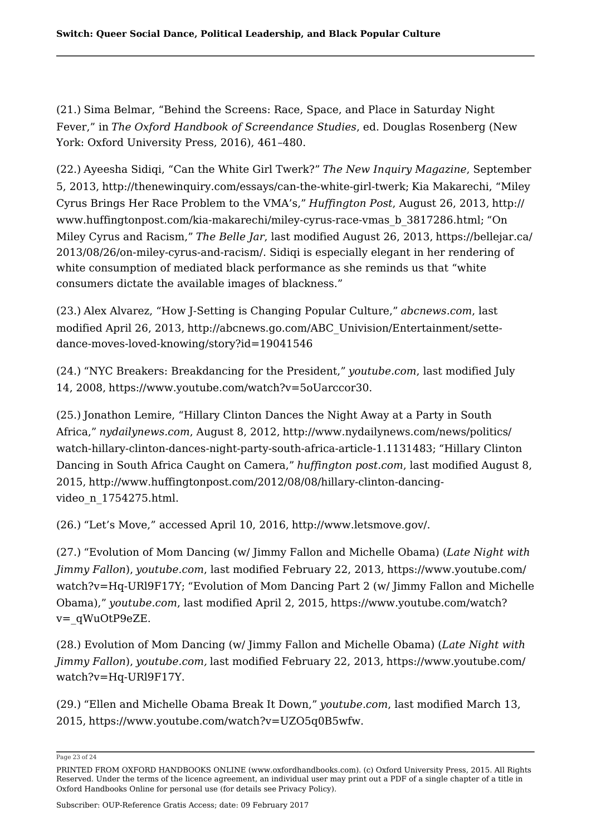(21.) Sima Belmar, "Behind the Screens: Race, Space, and Place in Saturday Night Fever," in *The Oxford Handbook of Screendance Studies*, ed. Douglas Rosenberg (New York: Oxford University Press, 2016), 461–480.

(22.) Ayeesha Sidiqi, "Can the White Girl Twerk?" *The New Inquiry Magazine*, September 5, 2013, http://thenewinquiry.com/essays/can-the-white-girl-twerk; Kia Makarechi, "Miley Cyrus Brings Her Race Problem to the VMA's," *Huffington Post*, August 26, 2013, http:// www.huffingtonpost.com/kia-makarechi/miley-cyrus-race-vmas\_b\_3817286.html; "On Miley Cyrus and Racism," *The Belle Jar*, last modified August 26, 2013, https://bellejar.ca/ 2013/08/26/on-miley-cyrus-and-racism/. Sidiqi is especially elegant in her rendering of white consumption of mediated black performance as she reminds us that "white consumers dictate the available images of blackness."

(23.) Alex Alvarez, "How J-Setting is Changing Popular Culture," *abcnews.com*, last modified April 26, 2013, http://abcnews.go.com/ABC\_Univision/Entertainment/settedance-moves-loved-knowing/story?id=19041546

(24.) "NYC Breakers: Breakdancing for the President," *youtube.com*, last modified July 14, 2008, https://www.youtube.com/watch?v=5oUarccor30.

(25.) Jonathon Lemire, "Hillary Clinton Dances the Night Away at a Party in South Africa," *nydailynews.com*, August 8, 2012, http://www.nydailynews.com/news/politics/ watch-hillary-clinton-dances-night-party-south-africa-article-1.1131483; "Hillary Clinton Dancing in South Africa Caught on Camera," *huffington post.com*, last modified August 8, 2015, http://www.huffingtonpost.com/2012/08/08/hillary-clinton-dancingvideo\_n\_1754275.html.

(26.) "Let's Move," accessed April 10, 2016, http://www.letsmove.gov/.

(27.) "Evolution of Mom Dancing (w/ Jimmy Fallon and Michelle Obama) (*Late Night with Jimmy Fallon*), *youtube.com*, last modified February 22, 2013, https://www.youtube.com/ watch?v=Hq-URl9F17Y; "Evolution of Mom Dancing Part 2 (w/ Jimmy Fallon and Michelle Obama)," *youtube.com*, last modified April 2, 2015, https://www.youtube.com/watch? v=\_qWuOtP9eZE.

(28.) Evolution of Mom Dancing (w/ Jimmy Fallon and Michelle Obama) (*Late Night with Jimmy Fallon*), *youtube.com,* last modified February 22, 2013, https://www.youtube.com/ watch?v=Hq-URl9F17Y.

(29.) "Ellen and Michelle Obama Break It Down," *youtube.com*, last modified March 13, 2015, https://www.youtube.com/watch?v=UZO5q0B5wfw.

Page 23 of 24

PRINTED FROM OXFORD HANDBOOKS ONLINE (www.oxfordhandbooks.com). (c) Oxford University Press, 2015. All Rights Reserved. Under the terms of the licence agreement, an individual user may print out a PDF of a single chapter of a title in Oxford Handbooks Online for personal use (for details see Privacy Policy).